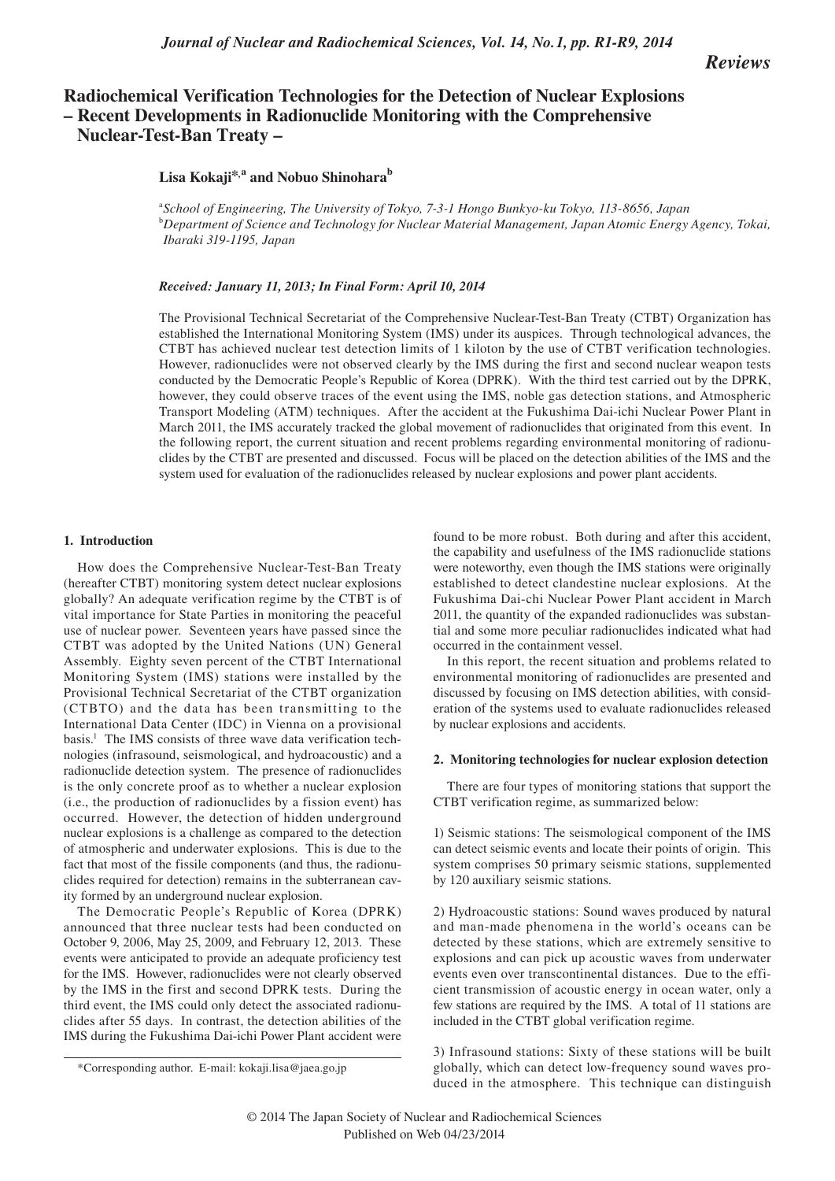## *Journal of Nuclear and Radiochemical Sciences, Vol. 14, No.1, pp. R1-R9, 2014*

*Reviews*

# **Radiochemical Verification Technologies for the Detection of Nuclear Explosions – Recent Developments in Radionuclide Monitoring with the Comprehensive Nuclear-Test-Ban Treaty –**

**Lisa Kokaji\*,<sup>a</sup> and Nobuo Shinoharab**

a *School of Engineering, The University of Tokyo, 7-3-1 Hongo Bunkyo-ku Tokyo, 113-8656, Japan* <sup>b</sup>*Department of Science and Technology for Nuclear Material Management, Japan Atomic Energy Agency, Tokai, Ibaraki 319-1195, Japan*

*Received: January 11, 2013; In Final Form: April 10, 2014*

The Provisional Technical Secretariat of the Comprehensive Nuclear-Test-Ban Treaty (CTBT) Organization has established the International Monitoring System (IMS) under its auspices. Through technological advances, the CTBT has achieved nuclear test detection limits of 1 kiloton by the use of CTBT verification technologies. However, radionuclides were not observed clearly by the IMS during the first and second nuclear weapon tests conducted by the Democratic People's Republic of Korea (DPRK). With the third test carried out by the DPRK, however, they could observe traces of the event using the IMS, noble gas detection stations, and Atmospheric Transport Modeling (ATM) techniques. After the accident at the Fukushima Dai-ichi Nuclear Power Plant in March 2011, the IMS accurately tracked the global movement of radionuclides that originated from this event. In the following report, the current situation and recent problems regarding environmental monitoring of radionuclides by the CTBT are presented and discussed. Focus will be placed on the detection abilities of the IMS and the system used for evaluation of the radionuclides released by nuclear explosions and power plant accidents.

#### **1. Introduction**

How does the Comprehensive Nuclear-Test-Ban Treaty (hereafter CTBT) monitoring system detect nuclear explosions globally? An adequate verification regime by the CTBT is of vital importance for State Parties in monitoring the peaceful use of nuclear power. Seventeen years have passed since the CTBT was adopted by the United Nations (UN) General Assembly. Eighty seven percent of the CTBT International Monitoring System (IMS) stations were installed by the Provisional Technical Secretariat of the CTBT organization (CTBTO) and the data has been transmitting to the International Data Center (IDC) in Vienna on a provisional basis.<sup>1</sup> The IMS consists of three wave data verification technologies (infrasound, seismological, and hydroacoustic) and a radionuclide detection system. The presence of radionuclides is the only concrete proof as to whether a nuclear explosion (i.e., the production of radionuclides by a fission event) has occurred. However, the detection of hidden underground nuclear explosions is a challenge as compared to the detection of atmospheric and underwater explosions. This is due to the fact that most of the fissile components (and thus, the radionuclides required for detection) remains in the subterranean cavity formed by an underground nuclear explosion.

The Democratic People's Republic of Korea (DPRK) announced that three nuclear tests had been conducted on October 9, 2006, May 25, 2009, and February 12, 2013. These events were anticipated to provide an adequate proficiency test for the IMS. However, radionuclides were not clearly observed by the IMS in the first and second DPRK tests. During the third event, the IMS could only detect the associated radionuclides after 55 days. In contrast, the detection abilities of the IMS during the Fukushima Dai-ichi Power Plant accident were

\*Corresponding author. E-mail: kokaji.lisa@jaea.go.jp

found to be more robust. Both during and after this accident, the capability and usefulness of the IMS radionuclide stations were noteworthy, even though the IMS stations were originally established to detect clandestine nuclear explosions. At the Fukushima Dai-chi Nuclear Power Plant accident in March 2011, the quantity of the expanded radionuclides was substantial and some more peculiar radionuclides indicated what had occurred in the containment vessel.

In this report, the recent situation and problems related to environmental monitoring of radionuclides are presented and discussed by focusing on IMS detection abilities, with consideration of the systems used to evaluate radionuclides released by nuclear explosions and accidents.

#### **2. Monitoring technologies for nuclear explosion detection**

There are four types of monitoring stations that support the CTBT verification regime, as summarized below:

1) Seismic stations: The seismological component of the IMS can detect seismic events and locate their points of origin. This system comprises 50 primary seismic stations, supplemented by 120 auxiliary seismic stations.

2) Hydroacoustic stations: Sound waves produced by natural and man-made phenomena in the world's oceans can be detected by these stations, which are extremely sensitive to explosions and can pick up acoustic waves from underwater events even over transcontinental distances. Due to the efficient transmission of acoustic energy in ocean water, only a few stations are required by the IMS. A total of 11 stations are included in the CTBT global verification regime.

3) Infrasound stations: Sixty of these stations will be built globally, which can detect low-frequency sound waves produced in the atmosphere. This technique can distinguish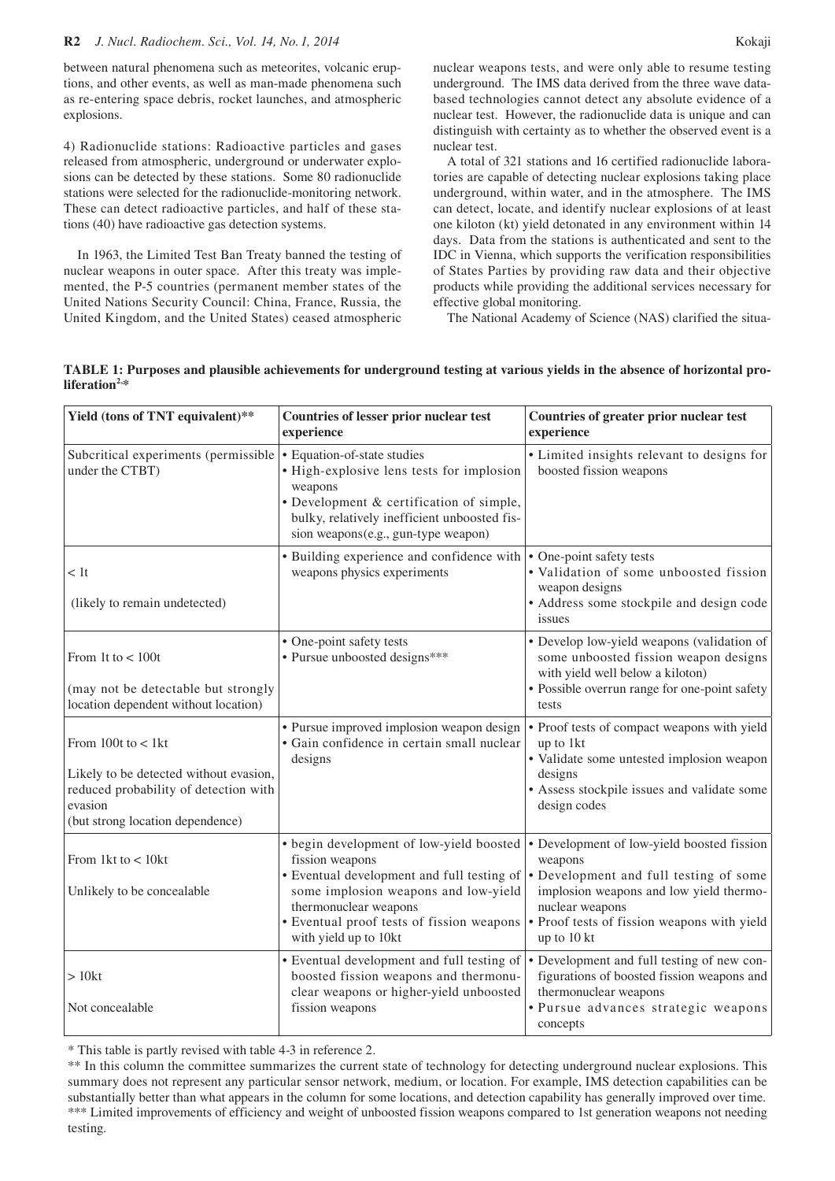### **R2** *J. Nucl. Radiochem. Sci., Vol. 14, No. 1, 2014* Kokaji

between natural phenomena such as meteorites, volcanic eruptions, and other events, as well as man-made phenomena such as re-entering space debris, rocket launches, and atmospheric explosions.

4) Radionuclide stations: Radioactive particles and gases released from atmospheric, underground or underwater explosions can be detected by these stations. Some 80 radionuclide stations were selected for the radionuclide-monitoring network. These can detect radioactive particles, and half of these stations (40) have radioactive gas detection systems.

In 1963, the Limited Test Ban Treaty banned the testing of nuclear weapons in outer space. After this treaty was implemented, the P-5 countries (permanent member states of the United Nations Security Council: China, France, Russia, the United Kingdom, and the United States) ceased atmospheric nuclear weapons tests, and were only able to resume testing underground. The IMS data derived from the three wave databased technologies cannot detect any absolute evidence of a nuclear test. However, the radionuclide data is unique and can distinguish with certainty as to whether the observed event is a nuclear test.

A total of 321 stations and 16 certified radionuclide laboratories are capable of detecting nuclear explosions taking place underground, within water, and in the atmosphere. The IMS can detect, locate, and identify nuclear explosions of at least one kiloton (kt) yield detonated in any environment within 14 days. Data from the stations is authenticated and sent to the IDC in Vienna, which supports the verification responsibilities of States Parties by providing raw data and their objective products while providing the additional services necessary for effective global monitoring.

The National Academy of Science (NAS) clarified the situa-

|                           | TABLE 1: Purposes and plausible achievements for underground testing at various yields in the absence of horizontal pro- |  |  |
|---------------------------|--------------------------------------------------------------------------------------------------------------------------|--|--|
| liferation <sup>2,*</sup> |                                                                                                                          |  |  |

| Yield (tons of TNT equivalent)**                                                                                                                         | Countries of lesser prior nuclear test<br>experience                                                                                                                                                                                             | Countries of greater prior nuclear test<br>experience                                                                                                                                                                       |
|----------------------------------------------------------------------------------------------------------------------------------------------------------|--------------------------------------------------------------------------------------------------------------------------------------------------------------------------------------------------------------------------------------------------|-----------------------------------------------------------------------------------------------------------------------------------------------------------------------------------------------------------------------------|
| Subcritical experiments (permissible<br>under the CTBT)                                                                                                  | • Equation-of-state studies<br>• High-explosive lens tests for implosion<br>weapons<br>• Development & certification of simple,<br>bulky, relatively inefficient unboosted fis-<br>sion weapons(e.g., gun-type weapon)                           | • Limited insights relevant to designs for<br>boosted fission weapons                                                                                                                                                       |
| < 1t<br>(likely to remain undetected)                                                                                                                    | • Building experience and confidence with<br>weapons physics experiments                                                                                                                                                                         | • One-point safety tests<br>• Validation of some unboosted fission<br>weapon designs<br>• Address some stockpile and design code<br>issues                                                                                  |
| From 1t to $< 100t$<br>(may not be detectable but strongly<br>location dependent without location)                                                       | • One-point safety tests<br>• Pursue unboosted designs***                                                                                                                                                                                        | • Develop low-yield weapons (validation of<br>some unboosted fission weapon designs<br>with yield well below a kiloton)<br>· Possible overrun range for one-point safety<br>tests                                           |
| From $100t$ to $< 1kt$<br>Likely to be detected without evasion,<br>reduced probability of detection with<br>evasion<br>(but strong location dependence) | • Pursue improved implosion weapon design<br>· Gain confidence in certain small nuclear<br>designs                                                                                                                                               | • Proof tests of compact weapons with yield<br>up to 1kt<br>· Validate some untested implosion weapon<br>designs<br>• Assess stockpile issues and validate some<br>design codes                                             |
| From 1 $kt$ to $<$ 10 $kt$<br>Unlikely to be concealable                                                                                                 | • begin development of low-yield boosted<br>fission weapons<br>• Eventual development and full testing of<br>some implosion weapons and low-yield<br>thermonuclear weapons<br>· Eventual proof tests of fission weapons<br>with yield up to 10kt | • Development of low-yield boosted fission<br>weapons<br>• Development and full testing of some<br>implosion weapons and low yield thermo-<br>nuclear weapons<br>• Proof tests of fission weapons with yield<br>up to 10 kt |
| >10kt<br>Not concealable                                                                                                                                 | • Eventual development and full testing of<br>boosted fission weapons and thermonu-<br>clear weapons or higher-yield unboosted<br>fission weapons                                                                                                | • Development and full testing of new con-<br>figurations of boosted fission weapons and<br>thermonuclear weapons<br>· Pursue advances strategic weapons<br>concepts                                                        |

\* This table is partly revised with table 4-3 in reference 2.

\*\* In this column the committee summarizes the current state of technology for detecting underground nuclear explosions. This summary does not represent any particular sensor network, medium, or location. For example, IMS detection capabilities can be substantially better than what appears in the column for some locations, and detection capability has generally improved over time. \*\*\* Limited improvements of efficiency and weight of unboosted fission weapons compared to 1st generation weapons not needing testing.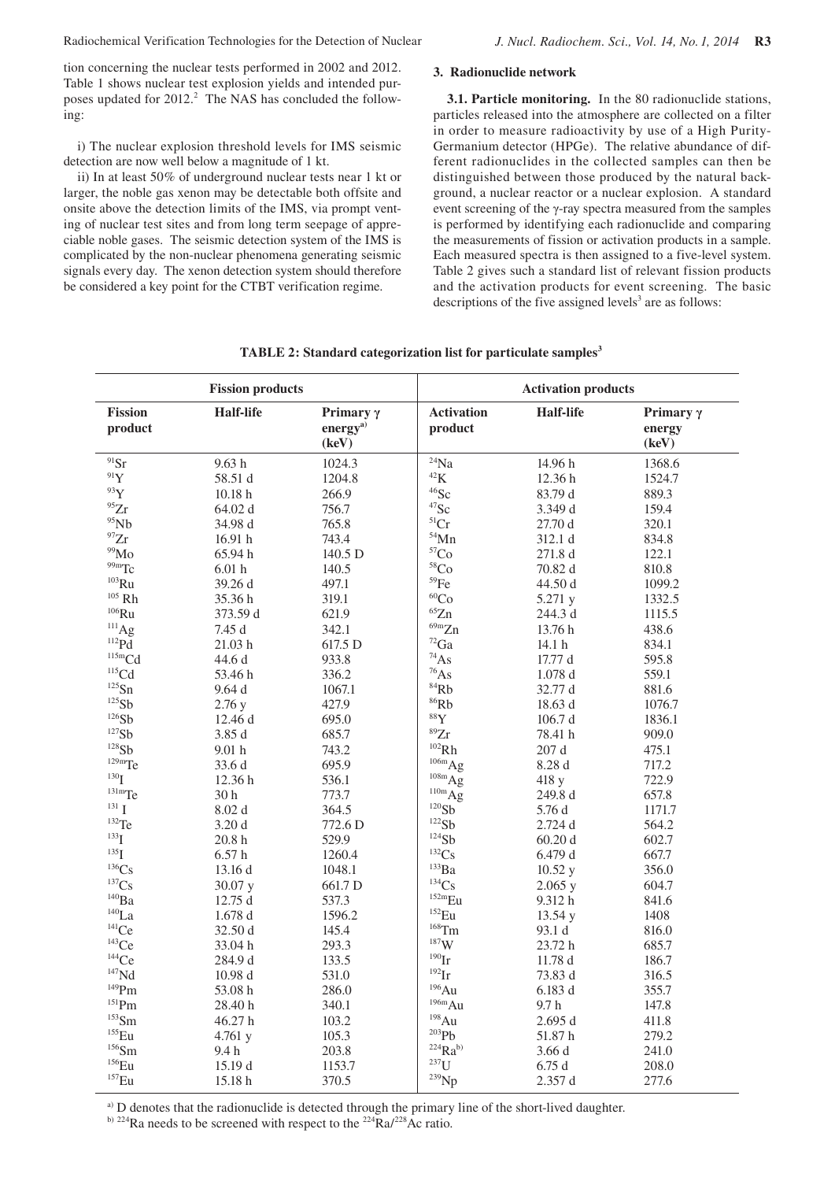tion concerning the nuclear tests performed in 2002 and 2012. Table 1 shows nuclear test explosion yields and intended purposes updated for 2012.<sup>2</sup> The NAS has concluded the following:

i) The nuclear explosion threshold levels for IMS seismic detection are now well below a magnitude of 1 kt.

ii) In at least 50% of underground nuclear tests near 1 kt or larger, the noble gas xenon may be detectable both offsite and onsite above the detection limits of the IMS, via prompt venting of nuclear test sites and from long term seepage of appreciable noble gases. The seismic detection system of the IMS is complicated by the non-nuclear phenomena generating seismic signals every day. The xenon detection system should therefore be considered a key point for the CTBT verification regime.

## **3. Radionuclide network**

**3.1. Particle monitoring.** In the 80 radionuclide stations, particles released into the atmosphere are collected on a filter in order to measure radioactivity by use of a High Purity-Germanium detector (HPGe). The relative abundance of different radionuclides in the collected samples can then be distinguished between those produced by the natural background, a nuclear reactor or a nuclear explosion. A standard event screening of the γ-ray spectra measured from the samples is performed by identifying each radionuclide and comparing the measurements of fission or activation products in a sample. Each measured spectra is then assigned to a five-level system. Table 2 gives such a standard list of relevant fission products and the activation products for event screening. The basic descriptions of the five assigned levels<sup>3</sup> are as follows:

|                           | <b>Fission products</b> |                                                   |                              | <b>Activation products</b> |                                     |
|---------------------------|-------------------------|---------------------------------------------------|------------------------------|----------------------------|-------------------------------------|
| <b>Fission</b><br>product | <b>Half-life</b>        | Primary $\gamma$<br>energy <sup>a)</sup><br>(keV) | <b>Activation</b><br>product | <b>Half-life</b>           | Primary $\gamma$<br>energy<br>(key) |
| $91$ Sr                   | 9.63h                   | 1024.3                                            | $^{24}Na$                    | 14.96 h                    | 1368.6                              |
| 91Y                       | 58.51 d                 | 1204.8                                            | $^{42}{\rm K}$               | 12.36 h                    | 1524.7                              |
| 93Y                       | 10.18 <sub>h</sub>      | 266.9                                             | $46$ Sc                      | 83.79 d                    | 889.3                               |
| $^{95}\mathrm{Zr}$        | 64.02 d                 | 756.7                                             | ${}^{47}\mathrm{Sc}$         | 3.349 d                    | 159.4                               |
| 95Nb                      | 34.98 d                 | 765.8                                             | ${}^{51}Cr$                  | 27.70 d                    | 320.1                               |
| $\rm ^{97}Zr$             | 16.91 h                 | 743.4                                             | $\rm ^{54}Mn$                | 312.1 d                    | 834.8                               |
| 99M <sub>0</sub>          | 65.94 h                 | 140.5 D                                           | ${}^{57}\mathrm{Co}$         | 271.8 d                    | 122.1                               |
| 99mTc                     | 6.01h                   | 140.5                                             | 58 <sub>Co</sub>             | 70.82 d                    | 810.8                               |
| $^{103}\mathrm{Ru}$       | 39.26 d                 | 497.1                                             | $^{59}\mathrm{Fe}$           | 44.50 d                    | 1099.2                              |
| $^{105}$ Rh               | 35.36 h                 | 319.1                                             | ${}^{60}Co$                  | 5.271 y                    | 1332.5                              |
| $^{106}\mathrm{Ru}$       | 373.59 d                | 621.9                                             | ${}^{65}\mathrm{Zn}$         | 244.3 d                    | 1115.5                              |
| $^{111}Ag$                | 7.45 d                  | 342.1                                             | 69mZn                        | 13.76 h                    | 438.6                               |
| $^{112}Pd$                | 21.03 h                 | 617.5 D                                           | $^{72}\mathrm{Ga}$           | 14.1 <sub>h</sub>          | 834.1                               |
| 115mCd                    | 44.6 d                  | 933.8                                             | $^{74}As$                    | 17.77d                     | 595.8                               |
| ${}^{115}\mathrm{Cd}$     | 53.46 h                 | 336.2                                             | $^{76}As$                    | 1.078d                     | 559.1                               |
| $^{125}Sn$                | 9.64d                   | 1067.1                                            | $^{84}\mathrm{Rb}$           | 32.77 d                    | 881.6                               |
| 125Sb                     | 2.76y                   | 427.9                                             | $86$ Rb                      | 18.63 d                    | 1076.7                              |
| 126Sb                     | 12.46 d                 | 695.0                                             | 88Y                          | 106.7 d                    | 1836.1                              |
| $^{127}\mathrm{Sb}$       | 3.85 d                  | 685.7                                             | ${}^{89}Zr$                  | 78.41 h                    | 909.0                               |
| 128Sb                     | 9.01 <sub>h</sub>       | 743.2                                             | $^{102}Rh$                   | $207\;\rm{d}$              | 475.1                               |
| $129m$ Te                 | 33.6 d                  | 695.9                                             | $106m$ Ag                    | 8.28 d                     | 717.2                               |
| 130 <sub>T</sub>          | 12.36 h                 | 536.1                                             | $108m$ Ag                    | 418 y                      | 722.9                               |
| $131 \text{mT}$ e         | 30 <sub>h</sub>         | 773.7                                             | $^{110m}Ag$                  | 249.8 d                    | 657.8                               |
| $131$ T                   | 8.02d                   | 364.5                                             | 120Sb                        | 5.76 d                     | 1171.7                              |
| $132$ Te                  | 3.20d                   | 772.6 D                                           | $^{122}Sb$                   | 2.724 d                    | 564.2                               |
| $^{133}$ I                | 20.8 <sub>h</sub>       | 529.9                                             | 124Sb                        | 60.20d                     | 602.7                               |
| $^{135}$ T                | 6.57h                   | 1260.4                                            | ${}^{132}Cs$                 | 6.479 d                    | 667.7                               |
| ${}^{136}\mathrm{Cs}$     | 13.16 d                 | 1048.1                                            | $^{133}Ba$                   | 10.52y                     | 356.0                               |
| ${}^{137}\mathrm{Cs}$     | 30.07 y                 | 661.7 D                                           | 134Cs                        | 2.065y                     | 604.7                               |
| $^{140}\mathrm{Ba}$       | 12.75d                  | 537.3                                             | $152m$ Eu                    | 9.312 h                    | 841.6                               |
| $\mathrm{^{140}La}$       | 1.678d                  | 1596.2                                            | $^{152}$ Eu                  | 13.54y                     | 1408                                |
| $^{141}Ce$                | 32.50 d                 | 145.4                                             | $^{168}\mathrm{Tm}$          | 93.1 d                     | 816.0                               |
| $^{143}Ce$                | 33.04 h                 | 293.3                                             | $^{187}\mathrm{W}$           | 23.72 h                    | 685.7                               |
| $\rm ^{144}Ce$            | 284.9 d                 | 133.5                                             | $190$ Ir                     | $11.78\;\rm{d}$            | 186.7                               |
| $\mathrm{^{147}Nd}$       | 10.98d                  | 531.0                                             | $^{192}\mathrm{Ir}$          | 73.83 d                    | 316.5                               |
| $^{149}Pm$                | 53.08 h                 | 286.0                                             | $196$ Au                     | 6.183 d                    | 355.7                               |
| $^{151}\mathrm{Pm}$       | 28.40 h                 | 340.1                                             | $196m$ Au                    | 9.7 h                      | 147.8                               |
| $153$ Sm                  | 46.27h                  | 103.2                                             | 198Au                        | 2.695d                     | 411.8                               |
| $^{155}$ Eu               | 4.761y                  | 105.3                                             | $^{203}\mathrm{Pb}$          | 51.87 h                    | 279.2                               |
| $^{156}\mathrm{Sm}$       | 9.4 h                   | 203.8                                             | $224Ra^{b}$                  | 3.66d                      | 241.0                               |
| $^{156}\mathrm{Eu}$       | 15.19d                  | 1153.7                                            | $^{237}$ U                   | 6.75d                      | 208.0                               |
| $^{157}$ Eu               | 15.18 h                 | 370.5                                             | $^{239}$ Np                  | 2.357 d                    | 277.6                               |

**TABLE 2: Standard categorization list for particulate samples3**

a) D denotes that the radionuclide is detected through the primary line of the short-lived daughter.

<sup>b) 224</sup>Ra needs to be screened with respect to the <sup>224</sup>Ra/<sup>228</sup>Ac ratio.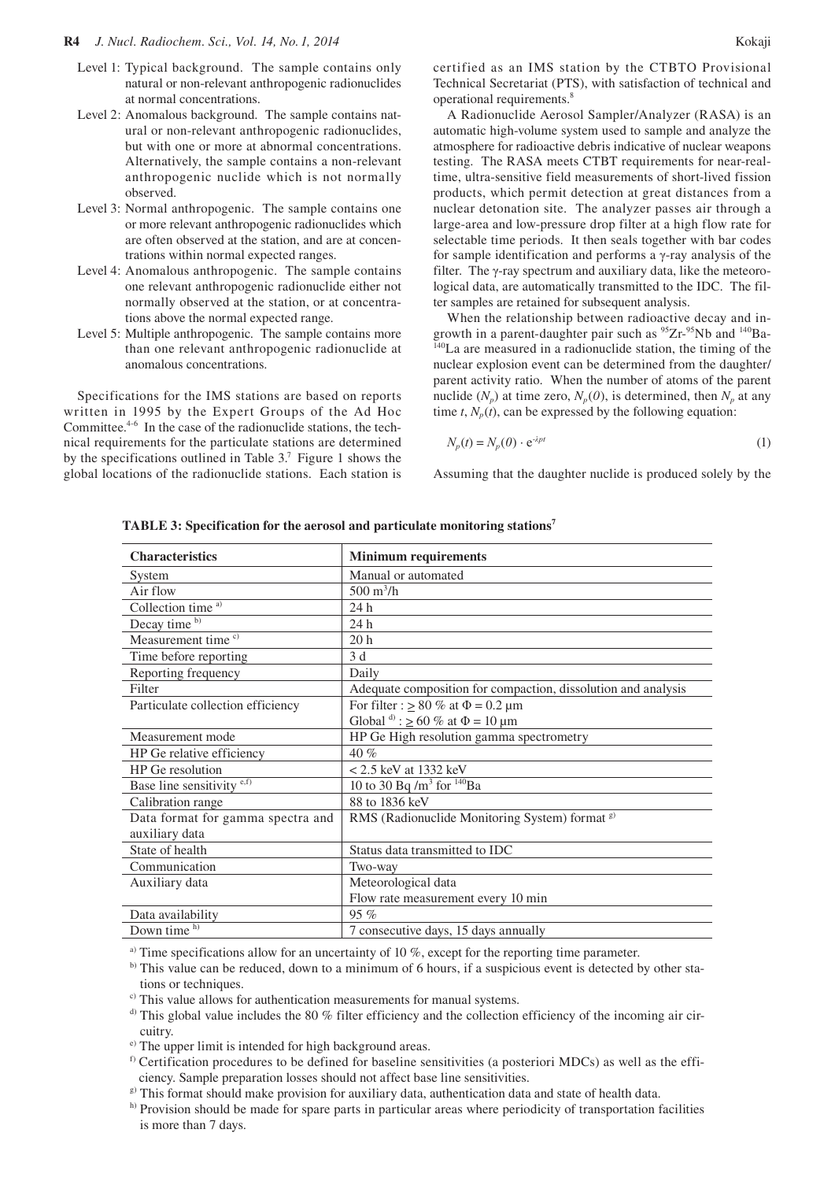- Level 1: Typical background. The sample contains only natural or non-relevant anthropogenic radionuclides at normal concentrations.
- Level 2: Anomalous background. The sample contains natural or non-relevant anthropogenic radionuclides, but with one or more at abnormal concentrations. Alternatively, the sample contains a non-relevant anthropogenic nuclide which is not normally observed.
- Level 3: Normal anthropogenic. The sample contains one or more relevant anthropogenic radionuclides which are often observed at the station, and are at concentrations within normal expected ranges.
- Level 4: Anomalous anthropogenic. The sample contains one relevant anthropogenic radionuclide either not normally observed at the station, or at concentrations above the normal expected range.
- Level 5: Multiple anthropogenic. The sample contains more than one relevant anthropogenic radionuclide at anomalous concentrations.

Specifications for the IMS stations are based on reports written in 1995 by the Expert Groups of the Ad Hoc Committee.4-6 In the case of the radionuclide stations, the technical requirements for the particulate stations are determined by the specifications outlined in Table 3.7 Figure 1 shows the global locations of the radionuclide stations. Each station is

certified as an IMS station by the CTBTO Provisional Technical Secretariat (PTS), with satisfaction of technical and operational requirements.8

A Radionuclide Aerosol Sampler/Analyzer (RASA) is an automatic high-volume system used to sample and analyze the atmosphere for radioactive debris indicative of nuclear weapons testing. The RASA meets CTBT requirements for near-realtime, ultra-sensitive field measurements of short-lived fission products, which permit detection at great distances from a nuclear detonation site. The analyzer passes air through a large-area and low-pressure drop filter at a high flow rate for selectable time periods. It then seals together with bar codes for sample identification and performs a γ-ray analysis of the filter. The γ-ray spectrum and auxiliary data, like the meteorological data, are automatically transmitted to the IDC. The filter samples are retained for subsequent analysis.

When the relationship between radioactive decay and ingrowth in a parent-daughter pair such as  $95Zr-95Nb$  and  $140Ba-$ <sup>140</sup>La are measured in a radionuclide station, the timing of the nuclear explosion event can be determined from the daughter/ parent activity ratio. When the number of atoms of the parent nuclide  $(N_p)$  at time zero,  $N_p(0)$ , is determined, then  $N_p$  at any time  $t$ ,  $N_p(t)$ , can be expressed by the following equation:

$$
N_p(t) = N_p(0) \cdot e^{-\lambda pt} \tag{1}
$$

Assuming that the daughter nuclide is produced solely by the

| <b>Characteristics</b>            | <b>Minimum requirements</b>                                   |  |
|-----------------------------------|---------------------------------------------------------------|--|
| System                            | Manual or automated                                           |  |
| Air flow                          | $500 \text{ m}^3/\text{h}$                                    |  |
| Collection time <sup>a)</sup>     | 24 h                                                          |  |
| Decay time b)                     | 24h                                                           |  |
| Measurement time <sup>c)</sup>    | 20 <sub>h</sub>                                               |  |
| Time before reporting             | 3 d                                                           |  |
| Reporting frequency               | Daily                                                         |  |
| Filter                            | Adequate composition for compaction, dissolution and analysis |  |
| Particulate collection efficiency | For filter : $\geq 80\%$ at $\Phi = 0.2 \mu m$                |  |
|                                   | Global $\phi$ : $\geq 60$ % at $\Phi = 10 \mu m$              |  |
| Measurement mode                  | HP Ge High resolution gamma spectrometry                      |  |
| HP Ge relative efficiency         | 40%                                                           |  |
| HP Ge resolution                  | $< 2.5$ keV at 1332 keV                                       |  |
| Base line sensitivity e,f)        | 10 to 30 Bq /m <sup>3</sup> for $^{140}Ba$                    |  |
| Calibration range                 | 88 to 1836 keV                                                |  |
| Data format for gamma spectra and | RMS (Radionuclide Monitoring System) format <sup>g)</sup>     |  |
| auxiliary data                    |                                                               |  |
| State of health                   | Status data transmitted to IDC                                |  |
| Communication                     | Two-way                                                       |  |
| Auxiliary data                    | Meteorological data                                           |  |
|                                   | Flow rate measurement every 10 min                            |  |
| Data availability                 | 95%                                                           |  |
| Down time h)                      | 7 consecutive days, 15 days annually                          |  |

**TABLE 3: Specification for the aerosol and particulate monitoring stations7**

<sup>a)</sup> Time specifications allow for an uncertainty of 10 %, except for the reporting time parameter.

b) This value can be reduced, down to a minimum of 6 hours, if a suspicious event is detected by other stations or techniques.

<sup>c)</sup> This value allows for authentication measurements for manual systems.

- $\alpha$ <sup>d)</sup> This global value includes the 80 % filter efficiency and the collection efficiency of the incoming air circuitry.
- e) The upper limit is intended for high background areas.
- $<sup>f)</sup>$  Certification procedures to be defined for baseline sensitivities (a posteriori MDCs) as well as the effi-</sup> ciency. Sample preparation losses should not affect base line sensitivities.
- g) This format should make provision for auxiliary data, authentication data and state of health data.
- h) Provision should be made for spare parts in particular areas where periodicity of transportation facilities is more than 7 days.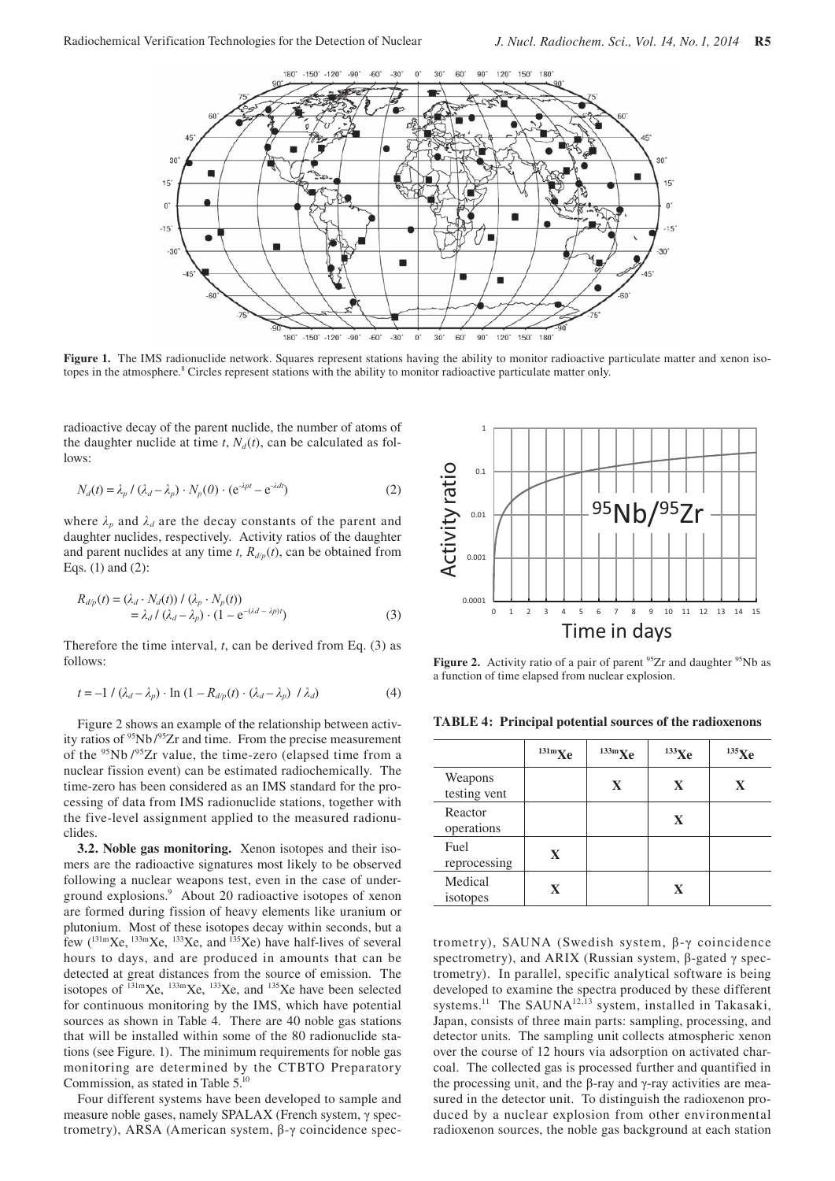

Figure 1. The IMS radionuclide network. Squares represent stations having the ability to monitor radioactive particulate matter and xenon isotopes in the atmosphere.<sup>8</sup> Circles represent stations with the ability to monitor radioactive particulate matter only.

radioactive decay of the parent nuclide, the number of atoms of the daughter nuclide at time  $t$ ,  $N_d(t)$ , can be calculated as follows:

$$
N_d(t) = \lambda_p / (\lambda_d - \lambda_p) \cdot N_p(0) \cdot (e^{-\lambda pt} - e^{-\lambda dt})
$$
 (2)

where  $\lambda_p$  and  $\lambda_d$  are the decay constants of the parent and daughter nuclides, respectively. Activity ratios of the daughter and parent nuclides at any time *t*,  $R_{d/p}(t)$ , can be obtained from Eqs. (1) and (2):

$$
R_{d/p}(t) = (\lambda_d \cdot N_d(t)) / (\lambda_p \cdot N_p(t))
$$
  
=  $\lambda_d / (\lambda_d - \lambda_p) \cdot (1 - e^{-(\lambda_d - \lambda p)t})$  (3)

Therefore the time interval, *t*, can be derived from Eq. (3) as follows:

$$
t = -1 / (\lambda_d - \lambda_p) \cdot \ln (1 - R_{d/p}(t) \cdot (\lambda_d - \lambda_p) / \lambda_d)
$$
 (4)

Figure 2 shows an example of the relationship between activity ratios of  $95Nb/95Zr$  and time. From the precise measurement of the  $95$ Nb  $/95$ Zr value, the time-zero (elapsed time from a nuclear fission event) can be estimated radiochemically. The time-zero has been considered as an IMS standard for the processing of data from IMS radionuclide stations, together with the five-level assignment applied to the measured radionuclides.

**3.2. Noble gas monitoring.** Xenon isotopes and their isomers are the radioactive signatures most likely to be observed following a nuclear weapons test, even in the case of underground explosions.9 About 20 radioactive isotopes of xenon are formed during fission of heavy elements like uranium or plutonium. Most of these isotopes decay within seconds, but a few  $(^{131m}Xe, ^{133m}Xe, ^{133}Xe,$  and  $^{135}Xe)$  have half-lives of several hours to days, and are produced in amounts that can be detected at great distances from the source of emission. The isotopes of  $^{131m}$ Xe,  $^{133m}$ Xe,  $^{133}$ Xe, and  $^{135}$ Xe have been selected for continuous monitoring by the IMS, which have potential sources as shown in Table 4. There are 40 noble gas stations that will be installed within some of the 80 radionuclide stations (see Figure. 1). The minimum requirements for noble gas monitoring are determined by the CTBTO Preparatory Commission, as stated in Table 5.10

Four different systems have been developed to sample and measure noble gases, namely SPALAX (French system, γ spectrometry), ARSA (American system, β-γ coincidence spec-



**Figure 2.** Activity ratio of a pair of parent <sup>95</sup>Zr and daughter <sup>95</sup>Nb as a function of time elapsed from nuclear explosion.

**TABLE 4: Principal potential sources of the radioxenons**

|                         | $^{131m}Xe$  | $133m$ <b>Xe</b> | $^{133}$ Xe  | $^{135}\mathrm{Xe}$ |
|-------------------------|--------------|------------------|--------------|---------------------|
| Weapons<br>testing vent |              | $\mathbf{X}$     | $\mathbf{X}$ | $\mathbf{X}$        |
| Reactor<br>operations   |              |                  | $\mathbf{X}$ |                     |
| Fuel<br>reprocessing    | $\mathbf{X}$ |                  |              |                     |
| Medical<br>isotopes     | $\mathbf{X}$ |                  | $\mathbf{X}$ |                     |

trometry), SAUNA (Swedish system, β-γ coincidence spectrometry), and ARIX (Russian system, β-gated γ spectrometry). In parallel, specific analytical software is being developed to examine the spectra produced by these different systems.<sup>11</sup> The SAUNA<sup>12,13</sup> system, installed in Takasaki, Japan, consists of three main parts: sampling, processing, and detector units. The sampling unit collects atmospheric xenon over the course of 12 hours via adsorption on activated charcoal. The collected gas is processed further and quantified in the processing unit, and the β-ray and γ-ray activities are measured in the detector unit. To distinguish the radioxenon produced by a nuclear explosion from other environmental radioxenon sources, the noble gas background at each station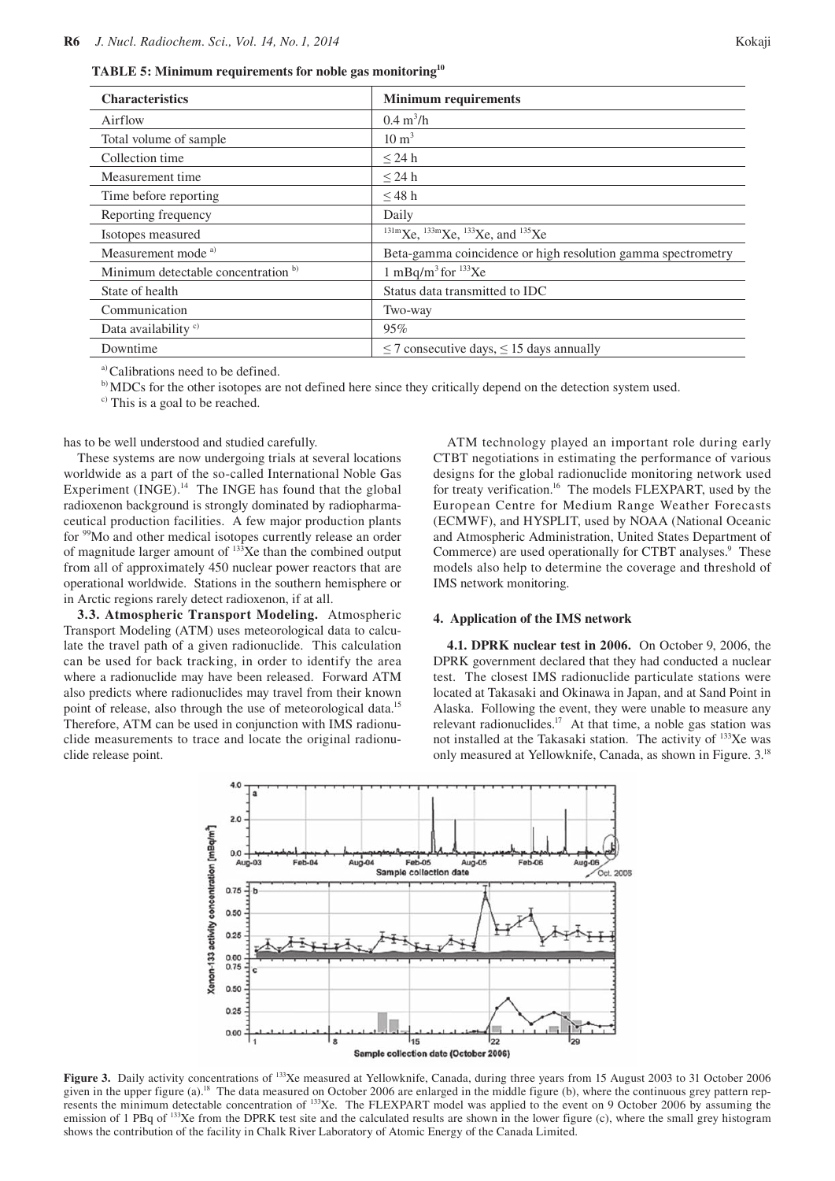**TABLE 5: Minimum requirements for noble gas monitoring10**

| <b>Characteristics</b>              | <b>Minimum requirements</b>                                  |
|-------------------------------------|--------------------------------------------------------------|
| Airflow                             | $0.4 \text{ m}^3/\text{h}$                                   |
| Total volume of sample              | $10 \text{ m}^3$                                             |
| Collection time                     | $<$ 24 h                                                     |
| Measurement time                    | $\leq$ 24 h                                                  |
| Time before reporting               | $\leq$ 48 h                                                  |
| Reporting frequency                 | Daily                                                        |
| Isotopes measured                   | $^{131m}$ Xe, $^{133m}$ Xe, $^{133}$ Xe, and $^{135}$ Xe     |
| Measurement mode <sup>a)</sup>      | Beta-gamma coincidence or high resolution gamma spectrometry |
| Minimum detectable concentration b) | 1 mBq/m <sup>3</sup> for $^{133}$ Xe                         |
| State of health                     | Status data transmitted to IDC                               |
| Communication                       | Two-way                                                      |
| Data availability <sup>c)</sup>     | 95%                                                          |
| Downtime                            | $\leq$ 7 consecutive days, $\leq$ 15 days annually           |

a) Calibrations need to be defined.

b) MDCs for the other isotopes are not defined here since they critically depend on the detection system used.

c) This is a goal to be reached.

has to be well understood and studied carefully.

These systems are now undergoing trials at several locations worldwide as a part of the so-called International Noble Gas Experiment  $(INGE)^{14}$  The INGE has found that the global radioxenon background is strongly dominated by radiopharmaceutical production facilities. A few major production plants for <sup>99</sup>Mo and other medical isotopes currently release an order of magnitude larger amount of  $133$ Xe than the combined output from all of approximately 450 nuclear power reactors that are operational worldwide. Stations in the southern hemisphere or in Arctic regions rarely detect radioxenon, if at all.

**3.3. Atmospheric Transport Modeling.** Atmospheric Transport Modeling (ATM) uses meteorological data to calculate the travel path of a given radionuclide. This calculation can be used for back tracking, in order to identify the area where a radionuclide may have been released. Forward ATM also predicts where radionuclides may travel from their known point of release, also through the use of meteorological data.<sup>15</sup> Therefore, ATM can be used in conjunction with IMS radionuclide measurements to trace and locate the original radionuclide release point.

ATM technology played an important role during early CTBT negotiations in estimating the performance of various designs for the global radionuclide monitoring network used for treaty verification.<sup>16</sup> The models FLEXPART, used by the European Centre for Medium Range Weather Forecasts (ECMWF), and HYSPLIT, used by NOAA (National Oceanic and Atmospheric Administration, United States Department of Commerce) are used operationally for CTBT analyses.<sup>9</sup> These models also help to determine the coverage and threshold of IMS network monitoring.

#### **4. Application of the IMS network**

**4.1. DPRK nuclear test in 2006.** On October 9, 2006, the DPRK government declared that they had conducted a nuclear test. The closest IMS radionuclide particulate stations were located at Takasaki and Okinawa in Japan, and at Sand Point in Alaska. Following the event, they were unable to measure any relevant radionuclides. $17$  At that time, a noble gas station was not installed at the Takasaki station. The activity of 133Xe was only measured at Yellowknife, Canada, as shown in Figure. 3.18



Figure 3. Daily activity concentrations of <sup>133</sup>Xe measured at Yellowknife, Canada, during three years from 15 August 2003 to 31 October 2006 given in the upper figure (a).<sup>18</sup> The data measured on October 2006 are enlarged in the middle figure (b), where the continuous grey pattern represents the minimum detectable concentration of <sup>133</sup>Xe. The FLEXPART model was applied to the event on 9 October 2006 by assuming the emission of 1 PBq of <sup>133</sup>Xe from the DPRK test site and the calculated results are shown in the lower figure (c), where the small grey histogram shows the contribution of the facility in Chalk River Laboratory of Atomic Energy of the Canada Limited.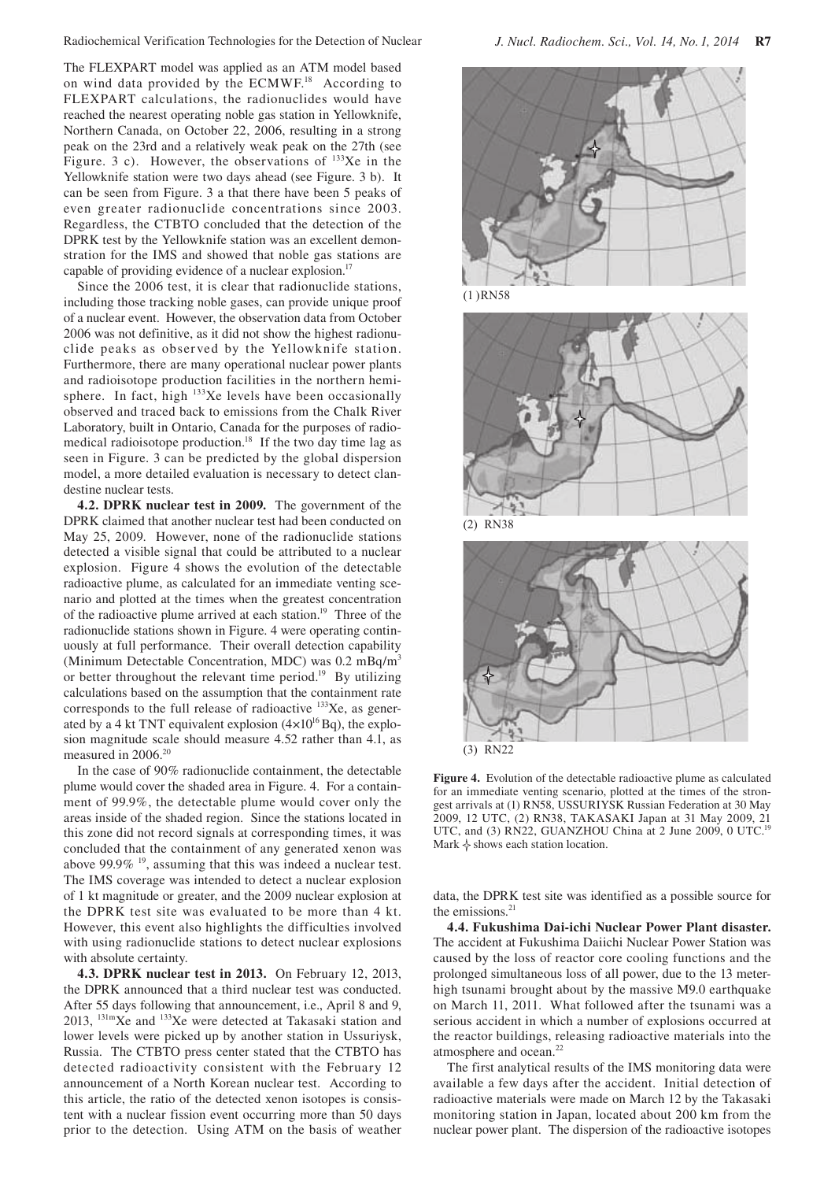The FLEXPART model was applied as an ATM model based on wind data provided by the ECMWF.<sup>18</sup> According to FLEXPART calculations, the radionuclides would have reached the nearest operating noble gas station in Yellowknife, Northern Canada, on October 22, 2006, resulting in a strong peak on the 23rd and a relatively weak peak on the 27th (see Figure. 3 c). However, the observations of  $133Xe$  in the Yellowknife station were two days ahead (see Figure. 3 b). It can be seen from Figure. 3 a that there have been 5 peaks of even greater radionuclide concentrations since 2003. Regardless, the CTBTO concluded that the detection of the DPRK test by the Yellowknife station was an excellent demonstration for the IMS and showed that noble gas stations are capable of providing evidence of a nuclear explosion.<sup>17</sup>

Since the 2006 test, it is clear that radionuclide stations, including those tracking noble gases, can provide unique proof of a nuclear event. However, the observation data from October 2006 was not definitive, as it did not show the highest radionuclide peaks as observed by the Yellowknife station. Furthermore, there are many operational nuclear power plants and radioisotope production facilities in the northern hemisphere. In fact, high  $133Xe$  levels have been occasionally observed and traced back to emissions from the Chalk River Laboratory, built in Ontario, Canada for the purposes of radiomedical radioisotope production.<sup>18</sup> If the two day time lag as seen in Figure. 3 can be predicted by the global dispersion model, a more detailed evaluation is necessary to detect clandestine nuclear tests.

**4.2. DPRK nuclear test in 2009.** The government of the DPRK claimed that another nuclear test had been conducted on May 25, 2009. However, none of the radionuclide stations detected a visible signal that could be attributed to a nuclear explosion. Figure 4 shows the evolution of the detectable radioactive plume, as calculated for an immediate venting scenario and plotted at the times when the greatest concentration of the radioactive plume arrived at each station.<sup>19</sup> Three of the radionuclide stations shown in Figure. 4 were operating continuously at full performance. Their overall detection capability (Minimum Detectable Concentration, MDC) was 0.2 mBq/m<sup>3</sup> or better throughout the relevant time period.<sup>19</sup> By utilizing calculations based on the assumption that the containment rate corresponds to the full release of radioactive <sup>133</sup>Xe, as generated by a 4 kt TNT equivalent explosion  $(4\times10^{16}$  Bq), the explosion magnitude scale should measure 4.52 rather than 4.1, as measured in 2006.<sup>20</sup>

In the case of 90% radionuclide containment, the detectable plume would cover the shaded area in Figure. 4. For a containment of 99.9%, the detectable plume would cover only the areas inside of the shaded region. Since the stations located in this zone did not record signals at corresponding times, it was concluded that the containment of any generated xenon was above 99.9%  $\frac{19}{2}$ , assuming that this was indeed a nuclear test. The IMS coverage was intended to detect a nuclear explosion of 1 kt magnitude or greater, and the 2009 nuclear explosion at the DPRK test site was evaluated to be more than 4 kt. However, this event also highlights the difficulties involved with using radionuclide stations to detect nuclear explosions with absolute certainty.

**4.3. DPRK nuclear test in 2013.** On February 12, 2013, the DPRK announced that a third nuclear test was conducted. After 55 days following that announcement, i.e., April 8 and 9, 2013, 131mXe and 133Xe were detected at Takasaki station and lower levels were picked up by another station in Ussuriysk, Russia. The CTBTO press center stated that the CTBTO has detected radioactivity consistent with the February 12 announcement of a North Korean nuclear test. According to this article, the ratio of the detected xenon isotopes is consistent with a nuclear fission event occurring more than 50 days prior to the detection. Using ATM on the basis of weather



(1 )RN58







**Figure 4.** Evolution of the detectable radioactive plume as calculated for an immediate venting scenario, plotted at the times of the strongest arrivals at (1) RN58, USSURIYSK Russian Federation at 30 May 2009, 12 UTC, (2) RN38, TAKASAKI Japan at 31 May 2009, 21 UTC, and (3) RN22, GUANZHOU China at 2 June 2009, 0 UTC.<sup>19</sup> Mark  $\diamond$  shows each station location.

data, the DPRK test site was identified as a possible source for the emissions.<sup>21</sup>

**4.4. Fukushima Dai-ichi Nuclear Power Plant disaster.** The accident at Fukushima Daiichi Nuclear Power Station was caused by the loss of reactor core cooling functions and the prolonged simultaneous loss of all power, due to the 13 meterhigh tsunami brought about by the massive M9.0 earthquake on March 11, 2011. What followed after the tsunami was a serious accident in which a number of explosions occurred at the reactor buildings, releasing radioactive materials into the atmosphere and ocean.<sup>22</sup>

The first analytical results of the IMS monitoring data were available a few days after the accident. Initial detection of radioactive materials were made on March 12 by the Takasaki monitoring station in Japan, located about 200 km from the nuclear power plant. The dispersion of the radioactive isotopes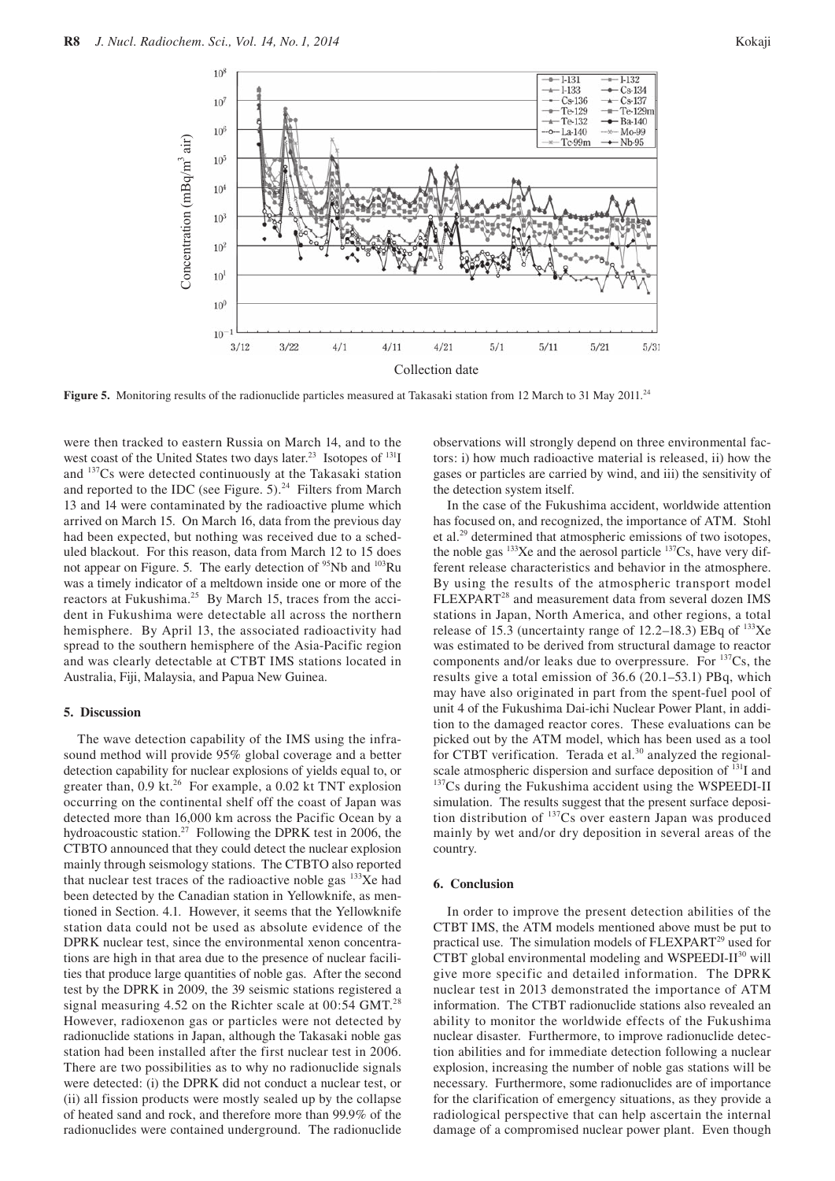

Figure 5. Monitoring results of the radionuclide particles measured at Takasaki station from 12 March to 31 May 2011.<sup>24</sup>

were then tracked to eastern Russia on March 14, and to the west coast of the United States two days later.<sup>23</sup> Isotopes of <sup>131</sup>I and 137Cs were detected continuously at the Takasaki station and reported to the IDC (see Figure.  $5)^{24}$  Filters from March 13 and 14 were contaminated by the radioactive plume which arrived on March 15. On March 16, data from the previous day had been expected, but nothing was received due to a scheduled blackout. For this reason, data from March 12 to 15 does not appear on Figure. 5. The early detection of <sup>95</sup>Nb and <sup>103</sup>Ru was a timely indicator of a meltdown inside one or more of the reactors at Fukushima.<sup>25</sup> By March 15, traces from the accident in Fukushima were detectable all across the northern hemisphere. By April 13, the associated radioactivity had spread to the southern hemisphere of the Asia-Pacific region and was clearly detectable at CTBT IMS stations located in Australia, Fiji, Malaysia, and Papua New Guinea.

#### **5. Discussion**

The wave detection capability of the IMS using the infrasound method will provide 95% global coverage and a better detection capability for nuclear explosions of yields equal to, or greater than,  $0.9$  kt.<sup>26</sup> For example, a  $0.02$  kt TNT explosion occurring on the continental shelf off the coast of Japan was detected more than 16,000 km across the Pacific Ocean by a hydroacoustic station.<sup>27</sup> Following the DPRK test in 2006, the CTBTO announced that they could detect the nuclear explosion mainly through seismology stations. The CTBTO also reported that nuclear test traces of the radioactive noble gas  $133Xe$  had been detected by the Canadian station in Yellowknife, as mentioned in Section. 4.1. However, it seems that the Yellowknife station data could not be used as absolute evidence of the DPRK nuclear test, since the environmental xenon concentrations are high in that area due to the presence of nuclear facilities that produce large quantities of noble gas. After the second test by the DPRK in 2009, the 39 seismic stations registered a signal measuring 4.52 on the Richter scale at  $0.54$  GMT.<sup>28</sup> However, radioxenon gas or particles were not detected by radionuclide stations in Japan, although the Takasaki noble gas station had been installed after the first nuclear test in 2006. There are two possibilities as to why no radionuclide signals were detected: (i) the DPRK did not conduct a nuclear test, or (ii) all fission products were mostly sealed up by the collapse of heated sand and rock, and therefore more than 99.9% of the radionuclides were contained underground. The radionuclide observations will strongly depend on three environmental factors: i) how much radioactive material is released, ii) how the gases or particles are carried by wind, and iii) the sensitivity of the detection system itself.

In the case of the Fukushima accident, worldwide attention has focused on, and recognized, the importance of ATM. Stohl et al.29 determined that atmospheric emissions of two isotopes, the noble gas <sup>133</sup>Xe and the aerosol particle <sup>137</sup>Cs, have very different release characteristics and behavior in the atmosphere. By using the results of the atmospheric transport model FLEXPART<sup>28</sup> and measurement data from several dozen IMS stations in Japan, North America, and other regions, a total release of 15.3 (uncertainty range of  $12.2-18.3$ ) EBq of  $133Xe$ was estimated to be derived from structural damage to reactor components and/or leaks due to overpressure. For  $137Cs$ , the results give a total emission of 36.6 (20.1–53.1) PBq, which may have also originated in part from the spent-fuel pool of unit 4 of the Fukushima Dai-ichi Nuclear Power Plant, in addition to the damaged reactor cores. These evaluations can be picked out by the ATM model, which has been used as a tool for CTBT verification. Terada et al.<sup>30</sup> analyzed the regionalscale atmospheric dispersion and surface deposition of <sup>131</sup>I and <sup>137</sup>Cs during the Fukushima accident using the WSPEEDI-II simulation. The results suggest that the present surface deposition distribution of 137Cs over eastern Japan was produced mainly by wet and/or dry deposition in several areas of the country.

#### **6. Conclusion**

In order to improve the present detection abilities of the CTBT IMS, the ATM models mentioned above must be put to practical use. The simulation models of FLEXPART<sup>29</sup> used for CTBT global environmental modeling and WSPEEDI-II<sup>30</sup> will give more specific and detailed information. The DPRK nuclear test in 2013 demonstrated the importance of ATM information. The CTBT radionuclide stations also revealed an ability to monitor the worldwide effects of the Fukushima nuclear disaster. Furthermore, to improve radionuclide detection abilities and for immediate detection following a nuclear explosion, increasing the number of noble gas stations will be necessary. Furthermore, some radionuclides are of importance for the clarification of emergency situations, as they provide a radiological perspective that can help ascertain the internal damage of a compromised nuclear power plant. Even though